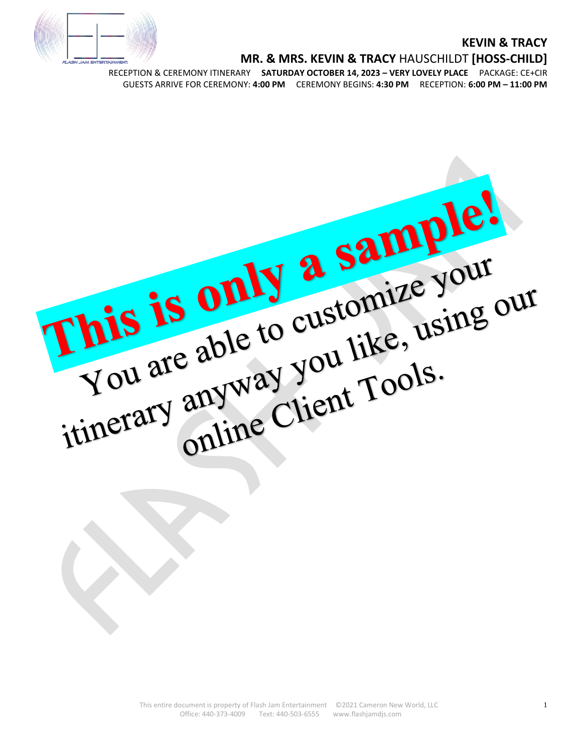# **SH JAM ENTERTAIN**

#### **KEVIN & TRACY**

#### **MR. & MRS. KEVIN & TRACY** HAUSCHILDT **[HOSS-CHILD]**

RECEPTION & CEREMONY ITINERARY **SATURDAY OCTOBER 14, 2023 – VERY LOVELY PLACE** PACKAGE: CE+CIR GUESTS ARRIVE FOR CEREMONY: **4:00 PM** CEREMONY BEGINS: **4:30 PM** RECEPTION: **6:00 PM – 11:00 PM**

This is only a sample!<br>You are able to customize your<br>You are able to customize your<br>itinerary anyway you like, using our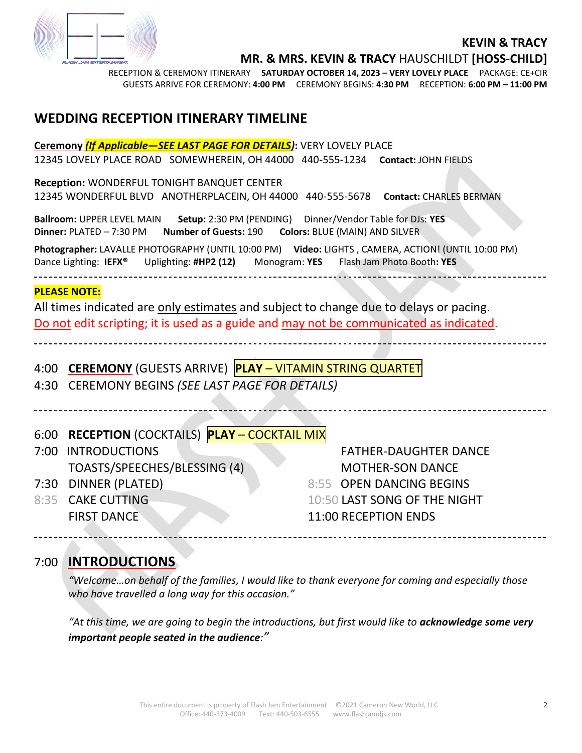

**MR. & MRS. KEVIN & TRACY** HAUSCHILDT **[HOSS-CHILD]**

RECEPTION & CEREMONY ITINERARY **SATURDAY OCTOBER 14, 2023 – VERY LOVELY PLACE** PACKAGE: CE+CIR GUESTS ARRIVE FOR CEREMONY: **4:00 PM** CEREMONY BEGINS: **4:30 PM** RECEPTION: **6:00 PM – 11:00 PM**

## **WEDDING RECEPTION ITINERARY TIMELINE**

| Ceremony <i>(If Applicable-SEE LAST PAGE FOR DETAILS)</i> : VERY LOVELY PLACE                                                                                                                          |                                                             |                              |
|--------------------------------------------------------------------------------------------------------------------------------------------------------------------------------------------------------|-------------------------------------------------------------|------------------------------|
| 12345 LOVELY PLACE ROAD SOMEWHEREIN, OH 44000 440-555-1234 Contact: JOHN FIELDS                                                                                                                        |                                                             |                              |
| Reception: WONDERFUL TONIGHT BANQUET CENTER                                                                                                                                                            |                                                             |                              |
| 12345 WONDERFUL BLVD ANOTHERPLACEIN, OH 44000 440-555-5678 Contact: CHARLES BERMAN                                                                                                                     |                                                             |                              |
| Ballroom: UPPER LEVEL MAIN<br>Setup: 2:30 PM (PENDING)    Dinner/Vendor Table for DJs: YES<br>Dinner: PLATED - 7:30 PM Number of Guests: 190 Colors: BLUE (MAIN) AND SILVER                            |                                                             |                              |
| Photographer: LAVALLE PHOTOGRAPHY (UNTIL 10:00 PM) Video: LIGHTS, CAMERA, ACTION! (UNTIL 10:00 PM)<br>Dance Lighting: IEFX <sup>®</sup> Uplighting: #HP2 (12) Monogram: YES Flash Jam Photo Booth: YES |                                                             |                              |
| <b>PLEASE NOTE:</b>                                                                                                                                                                                    |                                                             |                              |
| All times indicated are only estimates and subject to change due to delays or pacing.                                                                                                                  |                                                             |                              |
| Do not edit scripting; it is used as a guide and may not be communicated as indicated.                                                                                                                 |                                                             |                              |
|                                                                                                                                                                                                        |                                                             |                              |
|                                                                                                                                                                                                        |                                                             |                              |
|                                                                                                                                                                                                        | 4:00 CEREMONY (GUESTS ARRIVE) PLAY - VITAMIN STRING QUARTET |                              |
|                                                                                                                                                                                                        | 4:30 CEREMONY BEGINS (SEE LAST PAGE FOR DETAILS)            |                              |
|                                                                                                                                                                                                        |                                                             |                              |
|                                                                                                                                                                                                        |                                                             |                              |
| 6:00                                                                                                                                                                                                   | <b>RECEPTION (COCKTAILS) PLAY - COCKTAIL MIX</b>            |                              |
| 7:00                                                                                                                                                                                                   | <b>INTRODUCTIONS</b>                                        | <b>FATHER-DAUGHTER DANCE</b> |
|                                                                                                                                                                                                        | TOASTS/SPEECHES/BLESSING (4)                                | <b>MOTHER-SON DANCE</b>      |
|                                                                                                                                                                                                        | 7:30 DINNER (PLATED)                                        | 8:55 OPEN DANCING BEGINS     |
|                                                                                                                                                                                                        | 8:35 CAKE CUTTING                                           | 10:50 LAST SONG OF THE NIGHT |
|                                                                                                                                                                                                        | <b>FIRST DANCE</b>                                          | 11:00 RECEPTION ENDS         |
|                                                                                                                                                                                                        |                                                             |                              |

## 7:00 **INTRODUCTIONS**

\_\_\_\_\_\_\_\_\_\_

*"Welcome…on behalf of the families, I would like to thank everyone for coming and especially those who have travelled a long way for this occasion."* 

*"At this time, we are going to begin the introductions, but first would like to acknowledge some very important people seated in the audience:"*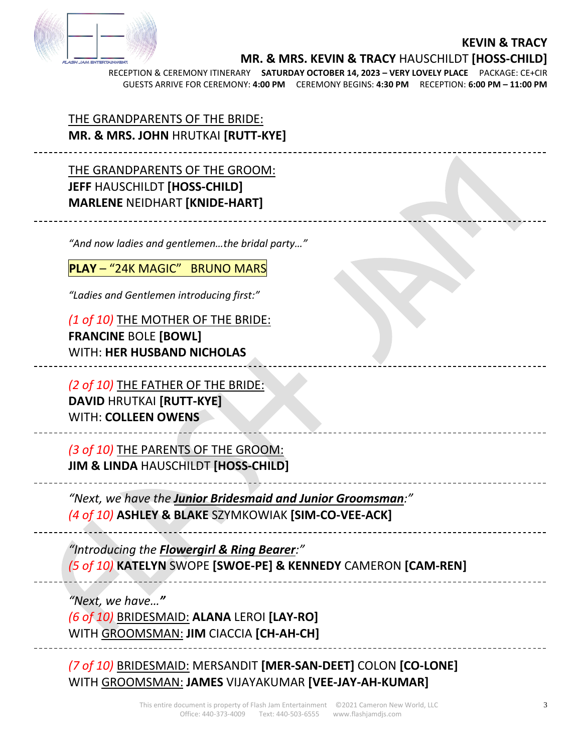

**MR. & MRS. KEVIN & TRACY** HAUSCHILDT **[HOSS-CHILD]**

RECEPTION & CEREMONY ITINERARY **SATURDAY OCTOBER 14, 2023 – VERY LOVELY PLACE** PACKAGE: CE+CIR GUESTS ARRIVE FOR CEREMONY: **4:00 PM** CEREMONY BEGINS: **4:30 PM** RECEPTION: **6:00 PM – 11:00 PM**

THE GRANDPARENTS OF THE BRIDE: **MR. & MRS. JOHN** HRUTKAI **[RUTT-KYE]**

THE GRANDPARENTS OF THE GROOM: **JEFF** HAUSCHILDT **[HOSS-CHILD] MARLENE** NEIDHART **[KNIDE-HART]**

*"And now ladies and gentlemen…the bridal party…"*

**PLAY** – "24K MAGIC"BRUNO MARS

*"Ladies and Gentlemen introducing first:"*

*(1 of 10)* THE MOTHER OF THE BRIDE: **FRANCINE** BOLE **[BOWL]** WITH: **HER HUSBAND NICHOLAS**

*(2 of 10)* THE FATHER OF THE BRIDE: **DAVID** HRUTKAI **[RUTT-KYE]** WITH: **COLLEEN OWENS**

*(3 of 10)* THE PARENTS OF THE GROOM: **JIM & LINDA** HAUSCHILDT **[HOSS-CHILD]**

*"Next, we have the Junior Bridesmaid and Junior Groomsman:" (4 of 10)* **ASHLEY & BLAKE** SZYMKOWIAK **[SIM-CO-VEE-ACK]**

*"Introducing the Flowergirl & Ring Bearer:" (5 of 10)* **KATELYN** SWOPE **[SWOE-PE] & KENNEDY** CAMERON **[CAM-REN]**

*"Next, we have…" (6 of 10)* BRIDESMAID: **ALANA** LEROI **[LAY-RO]**  WITH GROOMSMAN: **JIM** CIACCIA **[CH-AH-CH]** 

*(7 of 10)* BRIDESMAID: MERSANDIT **[MER-SAN-DEET]** COLON **[CO-LONE]**  WITH GROOMSMAN: **JAMES** VIJAYAKUMAR **[VEE-JAY-AH-KUMAR]**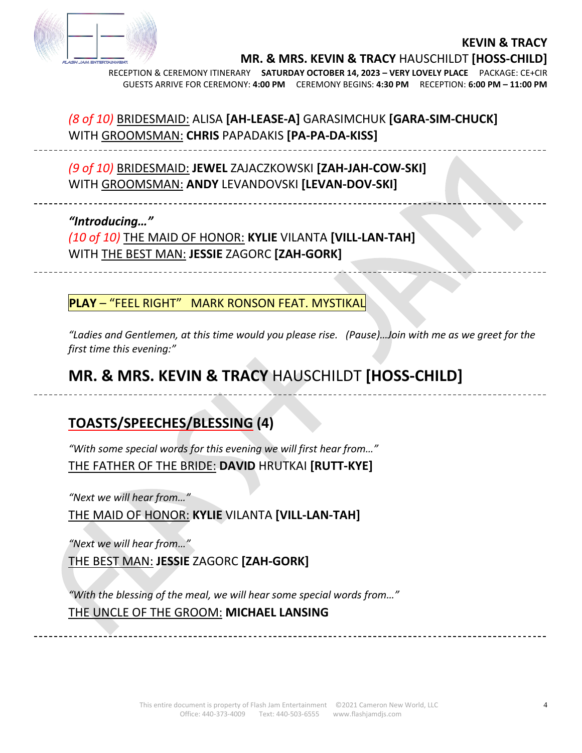

**MR. & MRS. KEVIN & TRACY** HAUSCHILDT **[HOSS-CHILD]**

RECEPTION & CEREMONY ITINERARY **SATURDAY OCTOBER 14, 2023 – VERY LOVELY PLACE** PACKAGE: CE+CIR GUESTS ARRIVE FOR CEREMONY: **4:00 PM** CEREMONY BEGINS: **4:30 PM** RECEPTION: **6:00 PM – 11:00 PM**

# *(8 of 10)* BRIDESMAID: ALISA **[AH-LEASE-A]** GARASIMCHUK **[GARA-SIM-CHUCK]**  WITH GROOMSMAN: **CHRIS** PAPADAKIS **[PA-PA-DA-KISS]**

*(9 of 10)* BRIDESMAID: **JEWEL** ZAJACZKOWSKI **[ZAH-JAH-COW-SKI]**  WITH GROOMSMAN: **ANDY** LEVANDOVSKI **[LEVAN-DOV-SKI]**

#### *"Introducing…"*

*(10 of 10)* THE MAID OF HONOR: **KYLIE** VILANTA **[VILL-LAN-TAH]** WITH THE BEST MAN: **JESSIE** ZAGORC **[ZAH-GORK]**

**PLAY** – "FEEL RIGHT" MARK RONSON FEAT. MYSTIKAL

*"Ladies and Gentlemen, at this time would you please rise. (Pause)…Join with me as we greet for the first time this evening:"*

# **MR. & MRS. KEVIN & TRACY** HAUSCHILDT **[HOSS-CHILD]**

# **TOASTS/SPEECHES/BLESSING (4)**

*"With some special words for this evening we will first hear from…"* THE FATHER OF THE BRIDE: **DAVID** HRUTKAI **[RUTT-KYE]**

*"Next we will hear from…"*

THE MAID OF HONOR: **KYLIE** VILANTA **[VILL-LAN-TAH]**

*"Next we will hear from…"*

THE BEST MAN: **JESSIE** ZAGORC **[ZAH-GORK]**

*"With the blessing of the meal, we will hear some special words from…"* THE UNCLE OF THE GROOM: **MICHAEL LANSING**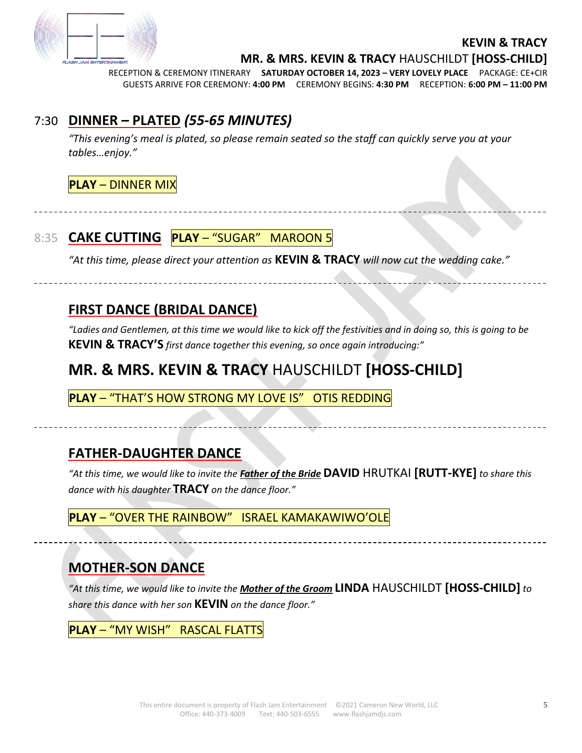

-------------------------------------

**MR. & MRS. KEVIN & TRACY** HAUSCHILDT **[HOSS-CHILD]**

RECEPTION & CEREMONY ITINERARY **SATURDAY OCTOBER 14, 2023 – VERY LOVELY PLACE** PACKAGE: CE+CIR GUESTS ARRIVE FOR CEREMONY: **4:00 PM** CEREMONY BEGINS: **4:30 PM** RECEPTION: **6:00 PM – 11:00 PM**

# 7:30 **DINNER – PLATED** *(55-65 MINUTES)*

*"This evening's meal is plated, so please remain seated so the staff can quickly serve you at your tables…enjoy."*

#### **PLAY** – DINNER MIX

# 8:35 **CAKE CUTTING PLAY** – "SUGAR"MAROON 5

*"At this time, please direct your attention as* **KEVIN & TRACY** *will now cut the wedding cake."*

# **FIRST DANCE (BRIDAL DANCE)**

*"Ladies and Gentlemen, at this time we would like to kick off the festivities and in doing so, this is going to be*  **KEVIN & TRACY'S** *first dance together this evening, so once again introducing:"*

# **MR. & MRS. KEVIN & TRACY** HAUSCHILDT **[HOSS-CHILD]**

**PLAY** – "THAT'S HOW STRONG MY LOVE IS"OTIS REDDING

# **FATHER-DAUGHTER DANCE**

*"At this time, we would like to invite the Father of the Bride* **DAVID** HRUTKAI **[RUTT-KYE]** *to share this dance with his daughter* **TRACY** *on the dance floor."*

**PLAY** – "OVER THE RAINBOW"ISRAEL KAMAKAWIWO'OLE

# **MOTHER-SON DANCE**

*"At this time, we would like to invite the Mother of the Groom* **LINDA** HAUSCHILDT **[HOSS-CHILD]** *to share this dance with her son* **KEVIN** *on the dance floor."*

**PLAY** – "MY WISH"RASCAL FLATTS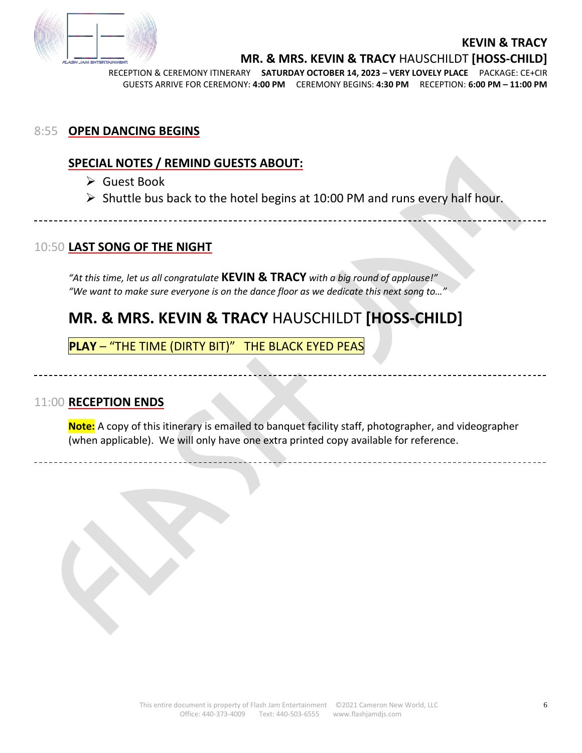

\_\_\_\_\_\_\_\_\_\_\_\_\_\_\_\_\_\_\_\_\_\_\_\_\_\_\_\_

**MR. & MRS. KEVIN & TRACY** HAUSCHILDT **[HOSS-CHILD]**

RECEPTION & CEREMONY ITINERARY **SATURDAY OCTOBER 14, 2023 – VERY LOVELY PLACE** PACKAGE: CE+CIR GUESTS ARRIVE FOR CEREMONY: **4:00 PM** CEREMONY BEGINS: **4:30 PM** RECEPTION: **6:00 PM – 11:00 PM**

#### 8:55 **OPEN DANCING BEGINS**

## **SPECIAL NOTES / REMIND GUESTS ABOUT:**

- ➢ Guest Book
- $\triangleright$  Shuttle bus back to the hotel begins at 10:00 PM and runs every half hour.

## 10:50 **LAST SONG OF THE NIGHT**

*"At this time, let us all congratulate* **KEVIN & TRACY** *with a big round of applause!" "We want to make sure everyone is on the dance floor as we dedicate this next song to…"* 

# **MR. & MRS. KEVIN & TRACY** HAUSCHILDT **[HOSS-CHILD]**

**PLAY** – "THE TIME (DIRTY BIT)" THE BLACK EYED PEAS

#### 11:00 **RECEPTION ENDS**

**Note:** A copy of this itinerary is emailed to banquet facility staff, photographer, and videographer (when applicable). We will only have one extra printed copy available for reference.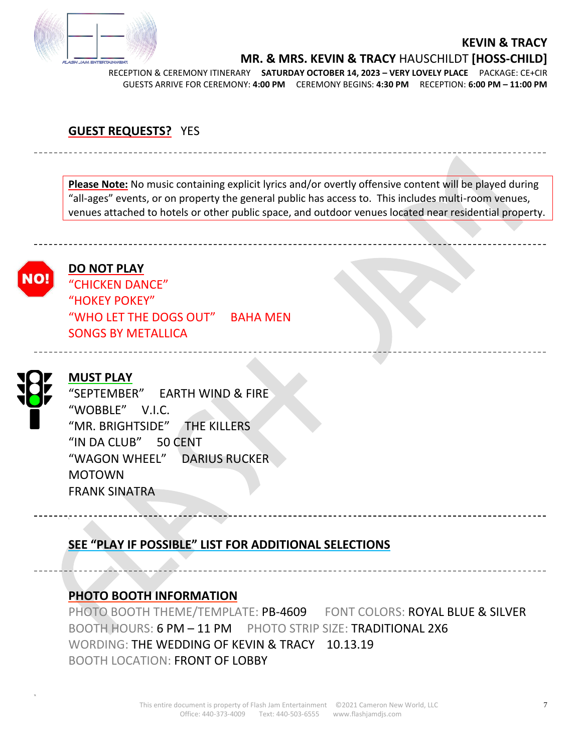

**MR. & MRS. KEVIN & TRACY** HAUSCHILDT **[HOSS-CHILD]**

RECEPTION & CEREMONY ITINERARY **SATURDAY OCTOBER 14, 2023 – VERY LOVELY PLACE** PACKAGE: CE+CIR GUESTS ARRIVE FOR CEREMONY: **4:00 PM** CEREMONY BEGINS: **4:30 PM** RECEPTION: **6:00 PM – 11:00 PM**

#### **GUEST REQUESTS?** YES

**Please Note:** No music containing explicit lyrics and/or overtly offensive content will be played during "all-ages" events, or on property the general public has access to. This includes multi-room venues, venues attached to hotels or other public space, and outdoor venues located near residential property.



#### **DO NOT PLAY**

"CHICKEN DANCE" "HOKEY POKEY" "WHO LET THE DOGS OUT" BAHA MEN SONGS BY METALLICA



#### **MUST PLAY**

------------------------

"SEPTEMBER" EARTH WIND & FIRE "WOBBLE" V.I.C. "MR. BRIGHTSIDE" THE KILLERS "IN DA CLUB" 50 CENT "WAGON WHEEL" DARIUS RUCKER MOTOWN FRANK SINATRA

## **SEE "PLAY IF POSSIBLE" LIST FOR ADDITIONAL SELECTIONS**

#### **PHOTO BOOTH INFORMATION**

PHOTO BOOTH THEME/TEMPLATE: PB-4609 FONT COLORS: ROYAL BLUE & SILVER BOOTH HOURS: 6 PM - 11 PM PHOTO STRIP SIZE: TRADITIONAL 2X6 WORDING: THE WEDDING OF KEVIN & TRACY 10.13.19 BOOTH LOCATION: FRONT OF LOBBY